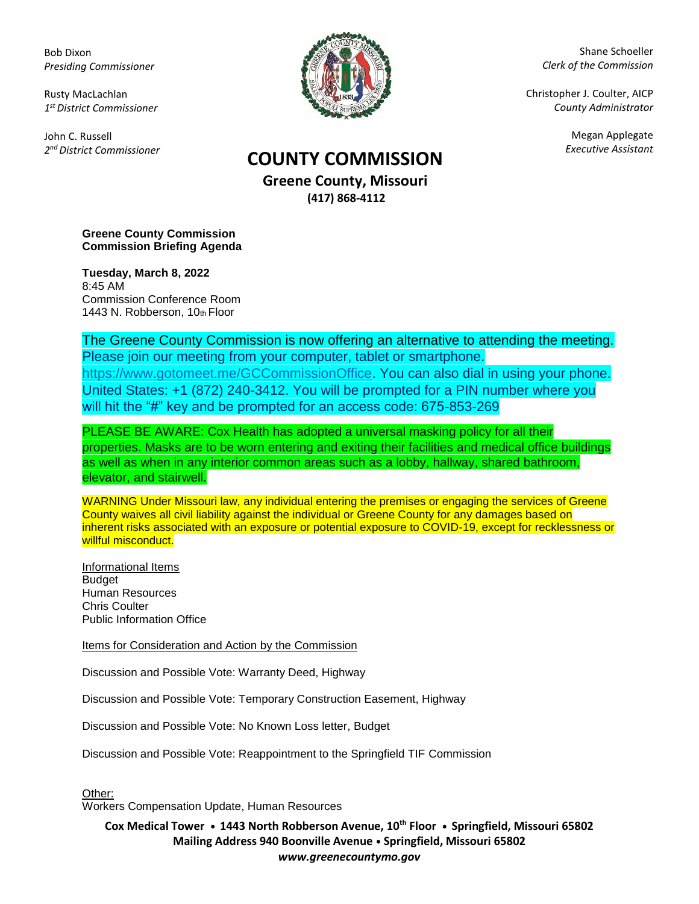Bob Dixon *Presiding Commissioner*

Rusty MacLachlan *1 st District Commissioner*

John C. Russell *2 nd District Commissioner*



Shane Schoeller *Clerk of the Commission*

Christopher J. Coulter, AICP *County Administrator*

Megan Applegate

## *Executive Assistant* **COUNTY COMMISSION**

**Greene County, Missouri (417) 868-4112**

**Greene County Commission Commission Briefing Agenda** 

**Tuesday, March 8, 2022** 8:45 AM Commission Conference Room 1443 N. Robberson, 10th Floor

The Greene County Commission is now offering an alternative to attending the meeting. Please join our meeting from your computer, tablet or smartphone. [https://www.gotomeet.me/GCCommissionOffice.](https://www.gotomeet.me/GCCommissionOffice) You can also dial in using your phone. United States: +1 (872) 240-3412. You will be prompted for a PIN number where you will hit the "#" key and be prompted for an access code: 675-853-269

PLEASE BE AWARE: Cox Health has adopted a universal masking policy for all their properties. Masks are to be worn entering and exiting their facilities and medical office buildings as well as when in any interior common areas such as a lobby, hallway, shared bathroom, elevator, and stairwell.

WARNING Under Missouri law, any individual entering the premises or engaging the services of Greene County waives all civil liability against the individual or Greene County for any damages based on inherent risks associated with an exposure or potential exposure to COVID-19, except for recklessness or willful misconduct.

Informational Items Budget Human Resources Chris Coulter Public Information Office

Items for Consideration and Action by the Commission

Discussion and Possible Vote: Warranty Deed, Highway

Discussion and Possible Vote: Temporary Construction Easement, Highway

Discussion and Possible Vote: No Known Loss letter, Budget

Discussion and Possible Vote: Reappointment to the Springfield TIF Commission

Other:

Workers Compensation Update, Human Resources

**Cox Medical Tower • 1443 North Robberson Avenue, 10th Floor • Springfield, Missouri 65802 Mailing Address 940 Boonville Avenue • Springfield, Missouri 65802** *www.greenecountymo.gov*